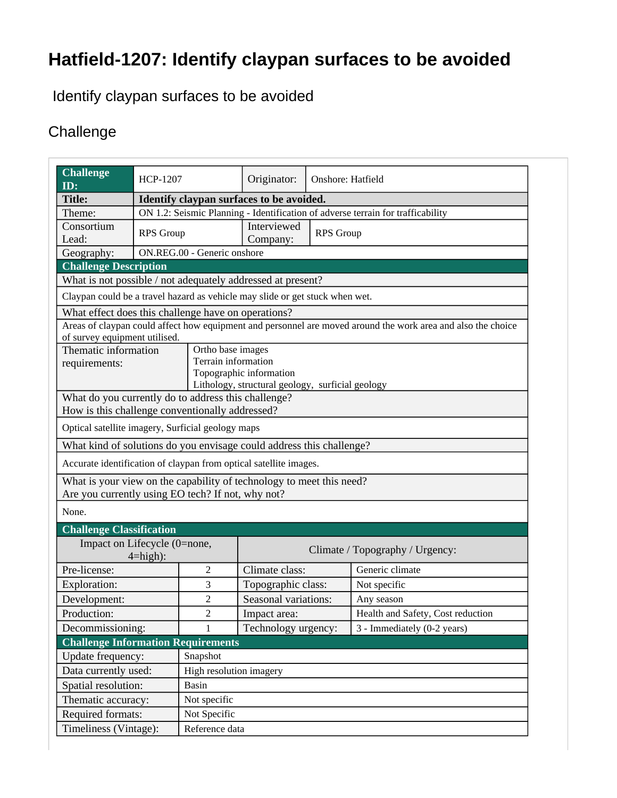## **Hatfield-1207: Identify claypan surfaces to be avoided**

Identify claypan surfaces to be avoided

## **Challenge**

| Challenge<br>ID:                                                             | <b>HCP-1207</b>                                                                 |                         | Originator:                                                                 | <b>Onshore: Hatfield</b> |                                                                                                              |  |  |
|------------------------------------------------------------------------------|---------------------------------------------------------------------------------|-------------------------|-----------------------------------------------------------------------------|--------------------------|--------------------------------------------------------------------------------------------------------------|--|--|
| <b>Title:</b>                                                                |                                                                                 |                         | Identify claypan surfaces to be avoided.                                    |                          |                                                                                                              |  |  |
| Theme:                                                                       | ON 1.2: Seismic Planning - Identification of adverse terrain for trafficability |                         |                                                                             |                          |                                                                                                              |  |  |
| Consortium<br>Lead:                                                          | <b>RPS</b> Group                                                                |                         | Interviewed<br>Company:                                                     | <b>RPS</b> Group         |                                                                                                              |  |  |
| Geography:                                                                   | ON.REG.00 - Generic onshore                                                     |                         |                                                                             |                          |                                                                                                              |  |  |
| <b>Challenge Description</b>                                                 |                                                                                 |                         |                                                                             |                          |                                                                                                              |  |  |
| What is not possible / not adequately addressed at present?                  |                                                                                 |                         |                                                                             |                          |                                                                                                              |  |  |
| Claypan could be a travel hazard as vehicle may slide or get stuck when wet. |                                                                                 |                         |                                                                             |                          |                                                                                                              |  |  |
| What effect does this challenge have on operations?                          |                                                                                 |                         |                                                                             |                          |                                                                                                              |  |  |
| of survey equipment utilised.                                                |                                                                                 |                         |                                                                             |                          | Areas of claypan could affect how equipment and personnel are moved around the work area and also the choice |  |  |
| Thematic information                                                         | Ortho base images                                                               |                         |                                                                             |                          |                                                                                                              |  |  |
| requirements:                                                                |                                                                                 |                         | Terrain information                                                         |                          |                                                                                                              |  |  |
|                                                                              |                                                                                 |                         | Topographic information<br>Lithology, structural geology, surficial geology |                          |                                                                                                              |  |  |
| What do you currently do to address this challenge?                          |                                                                                 |                         |                                                                             |                          |                                                                                                              |  |  |
| How is this challenge conventionally addressed?                              |                                                                                 |                         |                                                                             |                          |                                                                                                              |  |  |
| Optical satellite imagery, Surficial geology maps                            |                                                                                 |                         |                                                                             |                          |                                                                                                              |  |  |
| What kind of solutions do you envisage could address this challenge?         |                                                                                 |                         |                                                                             |                          |                                                                                                              |  |  |
| Accurate identification of claypan from optical satellite images.            |                                                                                 |                         |                                                                             |                          |                                                                                                              |  |  |
| What is your view on the capability of technology to meet this need?         |                                                                                 |                         |                                                                             |                          |                                                                                                              |  |  |
| Are you currently using EO tech? If not, why not?                            |                                                                                 |                         |                                                                             |                          |                                                                                                              |  |  |
| None.                                                                        |                                                                                 |                         |                                                                             |                          |                                                                                                              |  |  |
| <b>Challenge Classification</b>                                              |                                                                                 |                         |                                                                             |                          |                                                                                                              |  |  |
| Impact on Lifecycle (0=none,                                                 |                                                                                 |                         | Climate / Topography / Urgency:                                             |                          |                                                                                                              |  |  |
| $4 = high$ :                                                                 |                                                                                 |                         |                                                                             |                          |                                                                                                              |  |  |
| Pre-license:                                                                 |                                                                                 | $\overline{2}$          | Climate class:                                                              |                          | Generic climate                                                                                              |  |  |
| Exploration:                                                                 |                                                                                 | 3                       | Topographic class:                                                          |                          | Not specific                                                                                                 |  |  |
| Development:                                                                 |                                                                                 | 2                       | Seasonal variations:                                                        |                          | Any season                                                                                                   |  |  |
| Production:                                                                  |                                                                                 | $\overline{2}$          | Impact area:                                                                |                          | Health and Safety, Cost reduction                                                                            |  |  |
| Decommissioning:                                                             |                                                                                 | 1                       | Technology urgency:                                                         |                          | 3 - Immediately (0-2 years)                                                                                  |  |  |
|                                                                              | <b>Challenge Information Requirements</b>                                       |                         |                                                                             |                          |                                                                                                              |  |  |
| Update frequency:                                                            |                                                                                 | Snapshot                |                                                                             |                          |                                                                                                              |  |  |
| Data currently used:                                                         |                                                                                 | High resolution imagery |                                                                             |                          |                                                                                                              |  |  |
| Spatial resolution:                                                          |                                                                                 | Basin                   |                                                                             |                          |                                                                                                              |  |  |
|                                                                              | Thematic accuracy:<br>Not specific                                              |                         |                                                                             |                          |                                                                                                              |  |  |
| Required formats:<br>Not Specific                                            |                                                                                 |                         |                                                                             |                          |                                                                                                              |  |  |
| Timeliness (Vintage):                                                        | Reference data                                                                  |                         |                                                                             |                          |                                                                                                              |  |  |